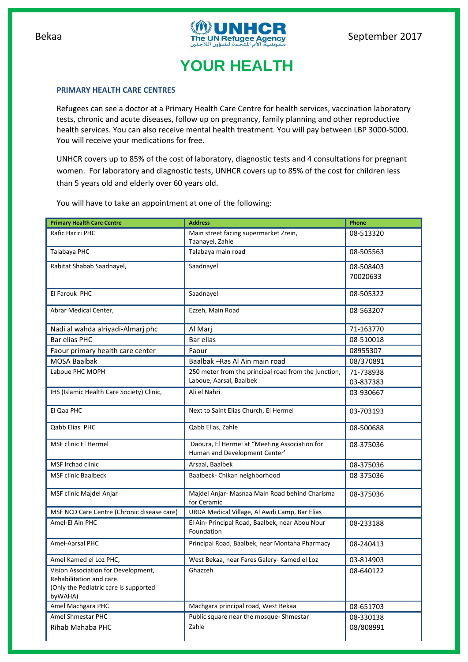

# **YOUR HEALTH**

### **PRIMARY HEALTH CARE CENTRES**

Refugees can see a doctor at a Primary Health Care Centre for health services, vaccination laboratory tests, chronic and acute diseases, follow up on pregnancy, family planning and other reproductive health services. You can also receive mental health treatment. You will pay between LBP 3000-5000. You will receive your medications for free.

UNHCR covers up to 85% of the cost of laboratory, diagnostic tests and 4 consultations for pregnant women. For laboratory and diagnostic tests, UNHCR covers up to 85% of the cost for children less than 5 years old and elderly over 60 years old.

You will have to take an appointment at one of the following:

| <b>Primary Health Care Centre</b>                                                                                   | <b>Address</b>                                                                 | Phone     |
|---------------------------------------------------------------------------------------------------------------------|--------------------------------------------------------------------------------|-----------|
| Rafic Hariri PHC                                                                                                    | Main street facing supermarket Zrein,                                          | 08-513320 |
|                                                                                                                     | Taanayel, Zahle                                                                |           |
| Talabaya PHC                                                                                                        | Talabaya main road                                                             | 08-505563 |
| Rabitat Shabab Saadnayel,                                                                                           | Saadnayel                                                                      | 08-508403 |
|                                                                                                                     |                                                                                | 70020633  |
| El Farouk PHC                                                                                                       | Saadnayel                                                                      | 08-505322 |
| Abrar Medical Center,                                                                                               | Ezzeh, Main Road                                                               | 08-563207 |
| Nadi al wahda alriyadi-Almarj phc                                                                                   | Al Marj                                                                        | 71-163770 |
| Bar elias PHC                                                                                                       | Bar elias                                                                      | 08-510018 |
| Faour primary health care center                                                                                    | Faour                                                                          | 08955307  |
| <b>MOSA Baalbak</b>                                                                                                 | Baalbak - Ras Al Ain main road                                                 | 08/370891 |
| Laboue PHC MOPH                                                                                                     | 250 meter from the principal road from the junction,                           | 71-738938 |
|                                                                                                                     | Laboue, Aarsal, Baalbek                                                        | 03-837383 |
| IHS (Islamic Health Care Society) Clinic,                                                                           | Ali el Nahri                                                                   | 03-930667 |
| El Qaa PHC                                                                                                          | Next to Saint Elias Church, El Hermel                                          | 03-703193 |
| Qabb Elias PHC                                                                                                      | Qabb Elias, Zahle                                                              | 08-500688 |
| MSF clinic El Hermel                                                                                                | Daoura, El Hermel at "Meeting Association for<br>Human and Development Center' | 08-375036 |
| <b>MSF Irchad clinic</b>                                                                                            | Arsaal, Baalbek                                                                | 08-375036 |
| <b>MSF clinic Baalbeck</b>                                                                                          | Baalbeck- Chikan neighborhood                                                  | 08-375036 |
| MSF clinic Majdel Anjar                                                                                             | Majdel Anjar- Masnaa Main Road behind Charisma<br>for Ceramic                  | 08-375036 |
| MSF NCD Care Centre (Chronic disease care)                                                                          | URDA Medical Village, Al Awdi Camp, Bar Elias                                  |           |
| Amel-El Ain PHC                                                                                                     | El Ain- Principal Road, Baalbek, near Abou Nour<br>Foundation                  | 08-233188 |
| Amel-Aarsal PHC                                                                                                     | Principal Road, Baalbek, near Montaha Pharmacy                                 | 08-240413 |
| Amel Kamed el Loz PHC,                                                                                              | West Bekaa, near Fares Galery- Kamed el Loz                                    | 03-814903 |
| Vision Association for Development,<br>Rehabilitation and care.<br>(Only the Pediatric care is supported<br>byWAHA) | Ghazzeh                                                                        | 08-640122 |
| Amel Machgara PHC                                                                                                   | Machgara principal road, West Bekaa                                            | 08-651703 |
| <b>Amel Shmestar PHC</b>                                                                                            | Public square near the mosque-Shmestar                                         | 08-330138 |
| Rihab Mahaba PHC                                                                                                    | Zahle                                                                          | 08/808991 |